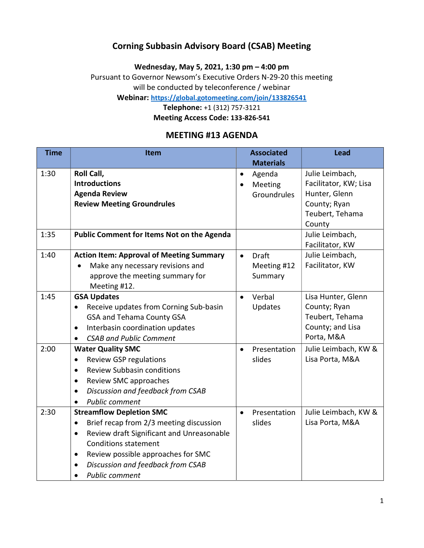## Corning Subbasin Advisory Board (CSAB) Meeting

Wednesday, May 5, 2021, 1:30 pm – 4:00 pm

Pursuant to Governor Newsom's Executive Orders N-29-20 this meeting

will be conducted by teleconference / webinar

Webinar: https://global.gotomeeting.com/join/133826541

Telephone: +1 (312) 757-3121 Meeting Access Code: 133-826-541

### MEETING #13 AGENDA

| <b>Time</b> | <b>Item</b>                                            | <b>Associated</b>         | <b>Lead</b>           |
|-------------|--------------------------------------------------------|---------------------------|-----------------------|
|             |                                                        | <b>Materials</b>          |                       |
| 1:30        | Roll Call,                                             | Agenda<br>$\bullet$       | Julie Leimbach,       |
|             | <b>Introductions</b>                                   | Meeting<br>$\bullet$      | Facilitator, KW; Lisa |
|             | <b>Agenda Review</b>                                   | Groundrules               | Hunter, Glenn         |
|             | <b>Review Meeting Groundrules</b>                      |                           | County; Ryan          |
|             |                                                        |                           | Teubert, Tehama       |
|             |                                                        |                           | County                |
| 1:35        | <b>Public Comment for Items Not on the Agenda</b>      |                           | Julie Leimbach,       |
|             |                                                        |                           | Facilitator, KW       |
| 1:40        | <b>Action Item: Approval of Meeting Summary</b>        | <b>Draft</b><br>$\bullet$ | Julie Leimbach,       |
|             | Make any necessary revisions and                       | Meeting #12               | Facilitator, KW       |
|             | approve the meeting summary for                        | Summary                   |                       |
|             | Meeting #12.                                           |                           |                       |
| 1:45        | <b>GSA Updates</b>                                     | Verbal<br>$\bullet$       | Lisa Hunter, Glenn    |
|             | Receive updates from Corning Sub-basin<br>$\bullet$    | Updates                   | County; Ryan          |
|             | GSA and Tehama County GSA                              |                           | Teubert, Tehama       |
|             | Interbasin coordination updates<br>$\bullet$           |                           | County; and Lisa      |
|             | <b>CSAB and Public Comment</b>                         |                           | Porta, M&A            |
| 2:00        | <b>Water Quality SMC</b>                               | Presentation<br>$\bullet$ | Julie Leimbach, KW &  |
|             | <b>Review GSP regulations</b><br>$\bullet$             | slides                    | Lisa Porta, M&A       |
|             | <b>Review Subbasin conditions</b><br>$\bullet$         |                           |                       |
|             | Review SMC approaches<br>$\bullet$                     |                           |                       |
|             | Discussion and feedback from CSAB<br>$\bullet$         |                           |                       |
|             | <b>Public comment</b>                                  |                           |                       |
| 2:30        | <b>Streamflow Depletion SMC</b>                        | Presentation<br>$\bullet$ | Julie Leimbach, KW &  |
|             | Brief recap from 2/3 meeting discussion<br>$\bullet$   | slides                    | Lisa Porta, M&A       |
|             | Review draft Significant and Unreasonable<br>$\bullet$ |                           |                       |
|             | <b>Conditions statement</b>                            |                           |                       |
|             | Review possible approaches for SMC<br>$\bullet$        |                           |                       |
|             | Discussion and feedback from CSAB                      |                           |                       |
|             | <b>Public comment</b>                                  |                           |                       |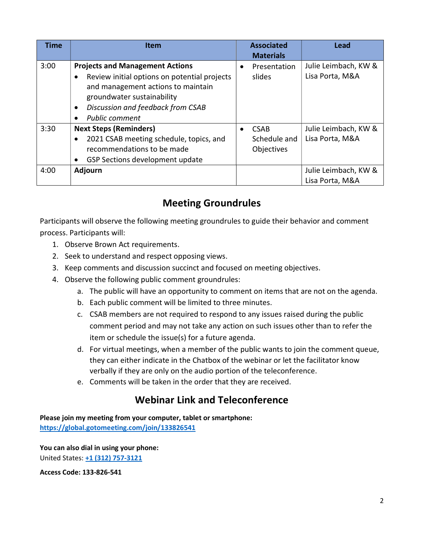| <b>Time</b> | <b>Item</b>                                                                                                                                                                                                                           | <b>Associated</b><br><b>Materials</b>     | <b>Lead</b>                             |
|-------------|---------------------------------------------------------------------------------------------------------------------------------------------------------------------------------------------------------------------------------------|-------------------------------------------|-----------------------------------------|
| 3:00        | <b>Projects and Management Actions</b><br>Review initial options on potential projects<br>and management actions to maintain<br>groundwater sustainability<br>Discussion and feedback from CSAB<br>$\bullet$<br><b>Public comment</b> | Presentation<br>$\bullet$<br>slides       | Julie Leimbach, KW &<br>Lisa Porta, M&A |
| 3:30        | <b>Next Steps (Reminders)</b><br>2021 CSAB meeting schedule, topics, and<br>$\bullet$<br>recommendations to be made<br>GSP Sections development update<br>$\bullet$                                                                   | <b>CSAB</b><br>Schedule and<br>Objectives | Julie Leimbach, KW &<br>Lisa Porta, M&A |
| 4:00        | Adjourn                                                                                                                                                                                                                               |                                           | Julie Leimbach, KW &<br>Lisa Porta, M&A |

# Meeting Groundrules

Participants will observe the following meeting groundrules to guide their behavior and comment process. Participants will:

- 1. Observe Brown Act requirements.
- 2. Seek to understand and respect opposing views.
- 3. Keep comments and discussion succinct and focused on meeting objectives.
- 4. Observe the following public comment groundrules:
	- a. The public will have an opportunity to comment on items that are not on the agenda.
	- b. Each public comment will be limited to three minutes.
	- c. CSAB members are not required to respond to any issues raised during the public comment period and may not take any action on such issues other than to refer the item or schedule the issue(s) for a future agenda.
	- d. For virtual meetings, when a member of the public wants to join the comment queue, they can either indicate in the Chatbox of the webinar or let the facilitator know verbally if they are only on the audio portion of the teleconference.
	- e. Comments will be taken in the order that they are received.

## Webinar Link and Teleconference

Please join my meeting from your computer, tablet or smartphone: https://global.gotomeeting.com/join/133826541

You can also dial in using your phone: United States: +1 (312) 757-3121

Access Code: 133-826-541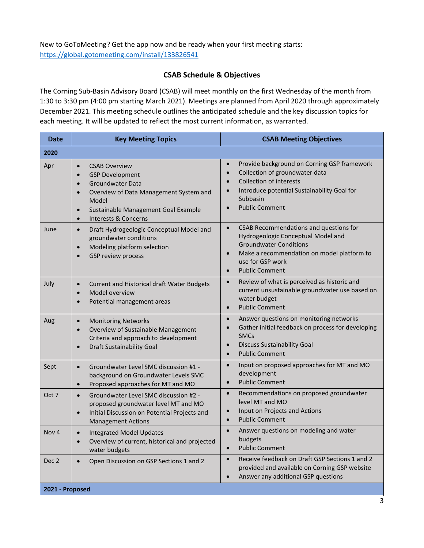New to GoToMeeting? Get the app now and be ready when your first meeting starts: https://global.gotomeeting.com/install/133826541

#### CSAB Schedule & Objectives

The Corning Sub-Basin Advisory Board (CSAB) will meet monthly on the first Wednesday of the month from 1:30 to 3:30 pm (4:00 pm starting March 2021). Meetings are planned from April 2020 through approximately December 2021. This meeting schedule outlines the anticipated schedule and the key discussion topics for each meeting. It will be updated to reflect the most current information, as warranted.

| <b>Date</b>      | <b>Key Meeting Topics</b>                                                                                                                                                                                                                                          | <b>CSAB Meeting Objectives</b>                                                                                                                                                                                                                          |  |
|------------------|--------------------------------------------------------------------------------------------------------------------------------------------------------------------------------------------------------------------------------------------------------------------|---------------------------------------------------------------------------------------------------------------------------------------------------------------------------------------------------------------------------------------------------------|--|
| 2020             |                                                                                                                                                                                                                                                                    |                                                                                                                                                                                                                                                         |  |
| Apr              | <b>CSAB Overview</b><br>$\bullet$<br><b>GSP Development</b><br>$\bullet$<br>Groundwater Data<br>$\bullet$<br>Overview of Data Management System and<br>$\bullet$<br>Model<br>Sustainable Management Goal Example<br>$\bullet$<br>Interests & Concerns<br>$\bullet$ | Provide background on Corning GSP framework<br>$\bullet$<br>Collection of groundwater data<br>$\bullet$<br><b>Collection of interests</b><br>Introduce potential Sustainability Goal for<br>$\bullet$<br>Subbasin<br><b>Public Comment</b><br>$\bullet$ |  |
| June             | Draft Hydrogeologic Conceptual Model and<br>$\bullet$<br>groundwater conditions<br>Modeling platform selection<br>$\bullet$<br>GSP review process<br>$\bullet$                                                                                                     | CSAB Recommendations and questions for<br>$\bullet$<br>Hydrogeologic Conceptual Model and<br><b>Groundwater Conditions</b><br>Make a recommendation on model platform to<br>$\bullet$<br>use for GSP work<br><b>Public Comment</b><br>$\bullet$         |  |
| July             | Current and Historical draft Water Budgets<br>$\bullet$<br>Model overview<br>$\bullet$<br>Potential management areas<br>$\bullet$                                                                                                                                  | Review of what is perceived as historic and<br>$\bullet$<br>current unsustainable groundwater use based on<br>water budget<br><b>Public Comment</b><br>$\bullet$                                                                                        |  |
| Aug              | <b>Monitoring Networks</b><br>$\bullet$<br>Overview of Sustainable Management<br>$\bullet$<br>Criteria and approach to development<br><b>Draft Sustainability Goal</b><br>$\bullet$                                                                                | Answer questions on monitoring networks<br>$\bullet$<br>Gather initial feedback on process for developing<br>$\bullet$<br><b>SMCs</b><br><b>Discuss Sustainability Goal</b><br>$\bullet$<br><b>Public Comment</b><br>$\bullet$                          |  |
| Sept             | Groundwater Level SMC discussion #1 -<br>$\bullet$<br>background on Groundwater Levels SMC<br>Proposed approaches for MT and MO<br>$\bullet$                                                                                                                       | Input on proposed approaches for MT and MO<br>$\bullet$<br>development<br><b>Public Comment</b><br>$\bullet$                                                                                                                                            |  |
| Oct 7            | Groundwater Level SMC discussion #2 -<br>$\bullet$<br>proposed groundwater level MT and MO<br>Initial Discussion on Potential Projects and<br>$\bullet$<br><b>Management Actions</b>                                                                               | Recommendations on proposed groundwater<br>$\bullet$<br>level MT and MO<br>Input on Projects and Actions<br>$\bullet$<br><b>Public Comment</b><br>$\bullet$                                                                                             |  |
| Nov <sub>4</sub> | <b>Integrated Model Updates</b><br>$\bullet$<br>Overview of current, historical and projected<br>water budgets                                                                                                                                                     | Answer questions on modeling and water<br>$\bullet$<br>budgets<br><b>Public Comment</b><br>$\bullet$                                                                                                                                                    |  |
| Dec 2            | Open Discussion on GSP Sections 1 and 2<br>$\bullet$                                                                                                                                                                                                               | Receive feedback on Draft GSP Sections 1 and 2<br>$\bullet$<br>provided and available on Corning GSP website<br>Answer any additional GSP questions<br>$\bullet$                                                                                        |  |
| 2021 - Proposed  |                                                                                                                                                                                                                                                                    |                                                                                                                                                                                                                                                         |  |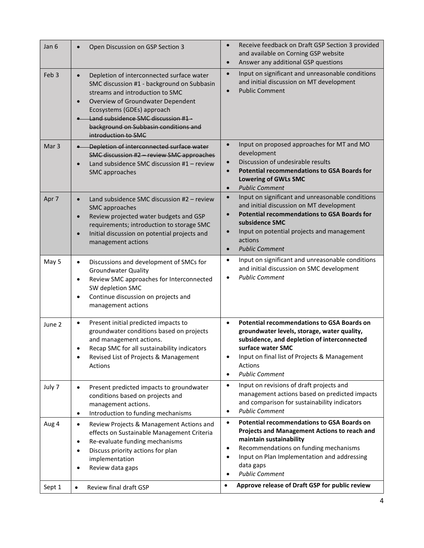| Jan 6            | Open Discussion on GSP Section 3<br>$\bullet$                                                                                                                                                                                                                                                                                 | Receive feedback on Draft GSP Section 3 provided<br>and available on Corning GSP website<br>Answer any additional GSP questions<br>$\bullet$                                                                                                                                                               |
|------------------|-------------------------------------------------------------------------------------------------------------------------------------------------------------------------------------------------------------------------------------------------------------------------------------------------------------------------------|------------------------------------------------------------------------------------------------------------------------------------------------------------------------------------------------------------------------------------------------------------------------------------------------------------|
| Feb <sub>3</sub> | Depletion of interconnected surface water<br>$\bullet$<br>SMC discussion #1 - background on Subbasin<br>streams and introduction to SMC<br>Overview of Groundwater Dependent<br>$\bullet$<br>Ecosystems (GDEs) approach<br>Land subsidence SMC discussion #1-<br>background on Subbasin conditions and<br>introduction to SMC | Input on significant and unreasonable conditions<br>$\bullet$<br>and initial discussion on MT development<br><b>Public Comment</b><br>$\bullet$                                                                                                                                                            |
| Mar <sub>3</sub> | Depletion of interconnected surface water<br>SMC discussion #2 - review SMC approaches<br>Land subsidence SMC discussion #1 - review<br>SMC approaches                                                                                                                                                                        | Input on proposed approaches for MT and MO<br>$\bullet$<br>development<br>Discussion of undesirable results<br>$\bullet$<br><b>Potential recommendations to GSA Boards for</b><br>$\bullet$<br><b>Lowering of GWLs SMC</b><br><b>Public Comment</b><br>$\bullet$                                           |
| Apr 7            | Land subsidence SMC discussion #2 - review<br>$\bullet$<br>SMC approaches<br>Review projected water budgets and GSP<br>$\bullet$<br>requirements; introduction to storage SMC<br>Initial discussion on potential projects and<br>$\bullet$<br>management actions                                                              | Input on significant and unreasonable conditions<br>$\bullet$<br>and initial discussion on MT development<br><b>Potential recommendations to GSA Boards for</b><br>$\bullet$<br>subsidence SMC<br>Input on potential projects and management<br>$\bullet$<br>actions<br><b>Public Comment</b><br>$\bullet$ |
| May 5            | Discussions and development of SMCs for<br>$\bullet$<br><b>Groundwater Quality</b><br>Review SMC approaches for Interconnected<br>$\bullet$<br>SW depletion SMC<br>Continue discussion on projects and<br>$\bullet$<br>management actions                                                                                     | Input on significant and unreasonable conditions<br>$\bullet$<br>and initial discussion on SMC development<br><b>Public Comment</b>                                                                                                                                                                        |
| June 2           | Present initial predicted impacts to<br>$\bullet$<br>groundwater conditions based on projects<br>and management actions.<br>Recap SMC for all sustainability indicators<br>Revised List of Projects & Management<br>$\bullet$<br>Actions                                                                                      | <b>Potential recommendations to GSA Boards on</b><br>$\bullet$<br>groundwater levels, storage, water quality,<br>subsidence, and depletion of interconnected<br>surface water SMC<br>Input on final list of Projects & Management<br>$\bullet$<br>Actions<br><b>Public Comment</b><br>٠                    |
| July 7           | Present predicted impacts to groundwater<br>$\bullet$<br>conditions based on projects and<br>management actions.<br>Introduction to funding mechanisms<br>$\bullet$                                                                                                                                                           | Input on revisions of draft projects and<br>$\bullet$<br>management actions based on predicted impacts<br>and comparison for sustainability indicators<br><b>Public Comment</b><br>٠                                                                                                                       |
| Aug 4            | Review Projects & Management Actions and<br>$\bullet$<br>effects on Sustainable Management Criteria<br>Re-evaluate funding mechanisms<br>$\bullet$<br>Discuss priority actions for plan<br>$\bullet$<br>implementation<br>Review data gaps<br>$\bullet$                                                                       | <b>Potential recommendations to GSA Boards on</b><br>$\bullet$<br><b>Projects and Management Actions to reach and</b><br>maintain sustainability<br>Recommendations on funding mechanisms<br>٠<br>Input on Plan Implementation and addressing<br>٠<br>data gaps<br><b>Public Comment</b>                   |
| Sept 1           | Review final draft GSP<br>$\bullet$                                                                                                                                                                                                                                                                                           | Approve release of Draft GSP for public review<br>$\bullet$                                                                                                                                                                                                                                                |